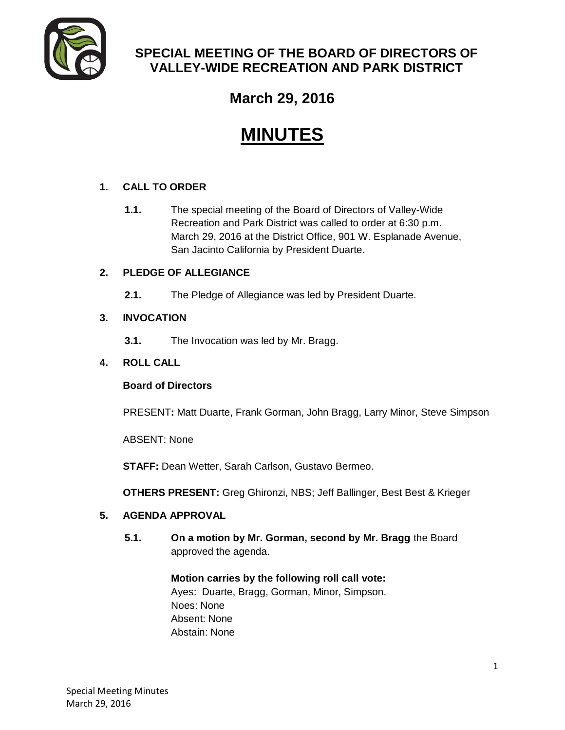

### **SPECIAL MEETING OF THE BOARD OF DIRECTORS OF VALLEY-WIDE RECREATION AND PARK DISTRICT**

## **March 29, 2016**

# **MINUTES**

#### **1. CALL TO ORDER**

**1.1.** The special meeting of the Board of Directors of Valley-Wide Recreation and Park District was called to order at 6:30 p.m. March 29, 2016 at the District Office, 901 W. Esplanade Avenue, San Jacinto California by President Duarte.

#### **2. PLEDGE OF ALLEGIANCE**

**2.1.** The Pledge of Allegiance was led by President Duarte.

#### **3. INVOCATION**

**3.1.** The Invocation was led by Mr. Bragg.

#### **4. ROLL CALL**

#### **Board of Directors**

PRESENT**:** Matt Duarte, Frank Gorman, John Bragg, Larry Minor, Steve Simpson

ABSENT: None

**STAFF:** Dean Wetter, Sarah Carlson, Gustavo Bermeo.

**OTHERS PRESENT:** Greg Ghironzi, NBS; Jeff Ballinger, Best Best & Krieger

#### **5. AGENDA APPROVAL**

**5.1. On a motion by Mr. Gorman, second by Mr. Bragg** the Board approved the agenda.

> **Motion carries by the following roll call vote:**  Ayes: Duarte, Bragg, Gorman, Minor, Simpson. Noes: None Absent: None Abstain: None